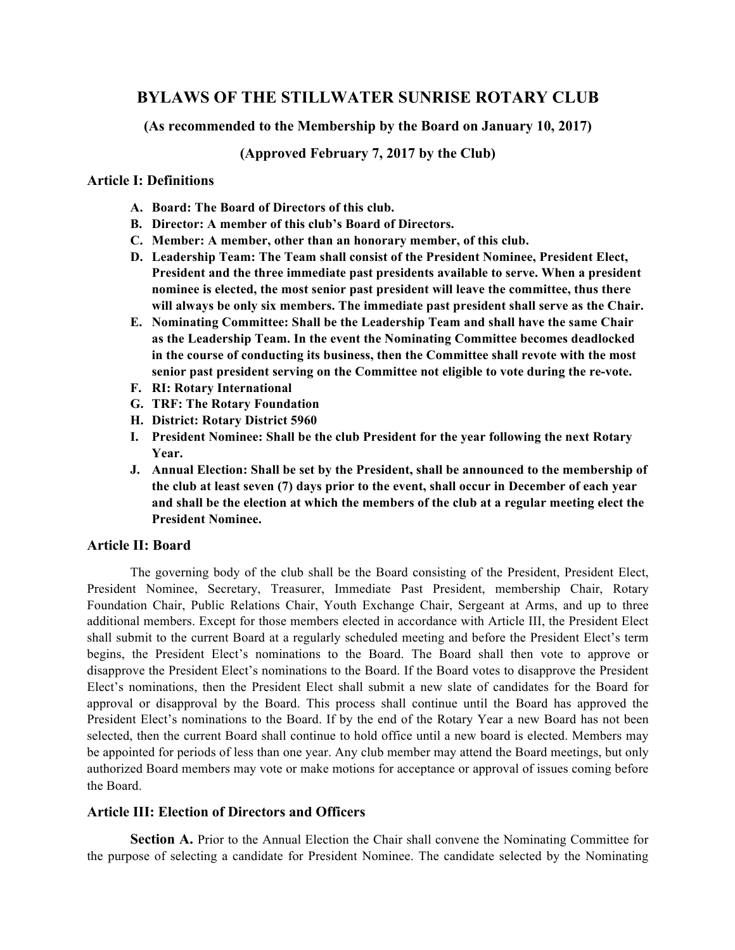# **BYLAWS OF THE STILLWATER SUNRISE ROTARY CLUB**

**(As recommended to the Membership by the Board on January 10, 2017)**

**(Approved February 7, 2017 by the Club)**

## **Article I: Definitions**

- **A. Board: The Board of Directors of this club.**
- **B. Director: A member of this club's Board of Directors.**
- **C. Member: A member, other than an honorary member, of this club.**
- **D. Leadership Team: The Team shall consist of the President Nominee, President Elect, President and the three immediate past presidents available to serve. When a president nominee is elected, the most senior past president will leave the committee, thus there will always be only six members. The immediate past president shall serve as the Chair.**
- **E. Nominating Committee: Shall be the Leadership Team and shall have the same Chair as the Leadership Team. In the event the Nominating Committee becomes deadlocked in the course of conducting its business, then the Committee shall revote with the most senior past president serving on the Committee not eligible to vote during the re-vote.**
- **F. RI: Rotary International**
- **G. TRF: The Rotary Foundation**
- **H. District: Rotary District 5960**
- **I. President Nominee: Shall be the club President for the year following the next Rotary Year.**
- **J. Annual Election: Shall be set by the President, shall be announced to the membership of the club at least seven (7) days prior to the event, shall occur in December of each year and shall be the election at which the members of the club at a regular meeting elect the President Nominee.**

# **Article II: Board**

The governing body of the club shall be the Board consisting of the President, President Elect, President Nominee, Secretary, Treasurer, Immediate Past President, membership Chair, Rotary Foundation Chair, Public Relations Chair, Youth Exchange Chair, Sergeant at Arms, and up to three additional members. Except for those members elected in accordance with Article III, the President Elect shall submit to the current Board at a regularly scheduled meeting and before the President Elect's term begins, the President Elect's nominations to the Board. The Board shall then vote to approve or disapprove the President Elect's nominations to the Board. If the Board votes to disapprove the President Elect's nominations, then the President Elect shall submit a new slate of candidates for the Board for approval or disapproval by the Board. This process shall continue until the Board has approved the President Elect's nominations to the Board. If by the end of the Rotary Year a new Board has not been selected, then the current Board shall continue to hold office until a new board is elected. Members may be appointed for periods of less than one year. Any club member may attend the Board meetings, but only authorized Board members may vote or make motions for acceptance or approval of issues coming before the Board.

# **Article III: Election of Directors and Officers**

**Section A.** Prior to the Annual Election the Chair shall convene the Nominating Committee for the purpose of selecting a candidate for President Nominee. The candidate selected by the Nominating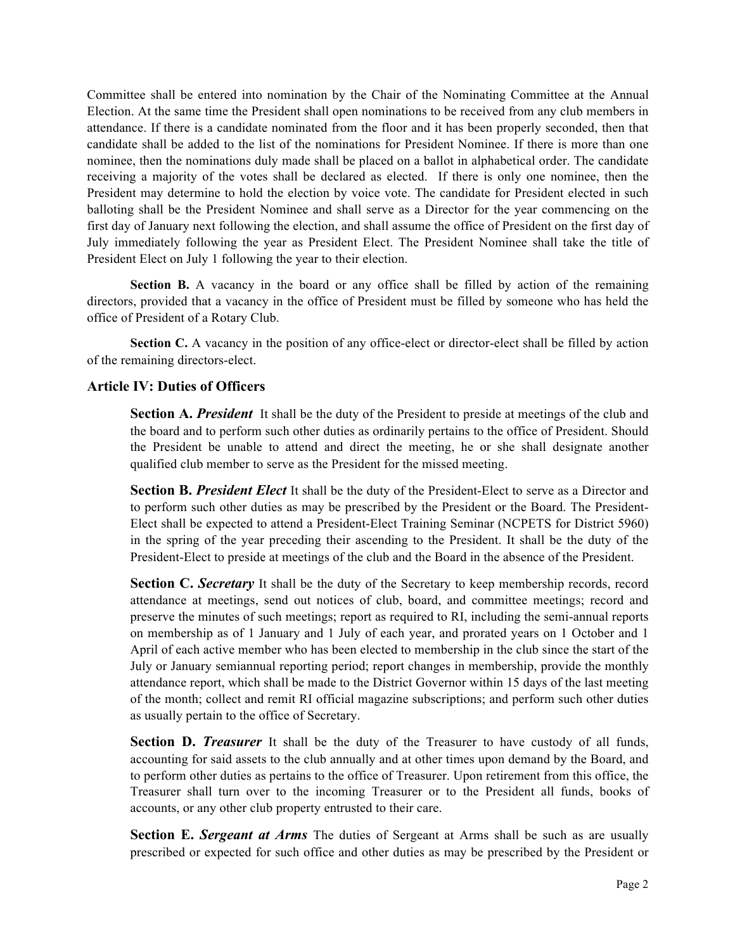Committee shall be entered into nomination by the Chair of the Nominating Committee at the Annual Election. At the same time the President shall open nominations to be received from any club members in attendance. If there is a candidate nominated from the floor and it has been properly seconded, then that candidate shall be added to the list of the nominations for President Nominee. If there is more than one nominee, then the nominations duly made shall be placed on a ballot in alphabetical order. The candidate receiving a majority of the votes shall be declared as elected. If there is only one nominee, then the President may determine to hold the election by voice vote. The candidate for President elected in such balloting shall be the President Nominee and shall serve as a Director for the year commencing on the first day of January next following the election, and shall assume the office of President on the first day of July immediately following the year as President Elect. The President Nominee shall take the title of President Elect on July 1 following the year to their election.

**Section B.** A vacancy in the board or any office shall be filled by action of the remaining directors, provided that a vacancy in the office of President must be filled by someone who has held the office of President of a Rotary Club.

Section C. A vacancy in the position of any office-elect or director-elect shall be filled by action of the remaining directors-elect.

# **Article IV: Duties of Officers**

**Section A. President** It shall be the duty of the President to preside at meetings of the club and the board and to perform such other duties as ordinarily pertains to the office of President. Should the President be unable to attend and direct the meeting, he or she shall designate another qualified club member to serve as the President for the missed meeting.

**Section B.** *President Elect* It shall be the duty of the President-Elect to serve as a Director and to perform such other duties as may be prescribed by the President or the Board. The President-Elect shall be expected to attend a President-Elect Training Seminar (NCPETS for District 5960) in the spring of the year preceding their ascending to the President. It shall be the duty of the President-Elect to preside at meetings of the club and the Board in the absence of the President.

**Section C. Secretary** It shall be the duty of the Secretary to keep membership records, record attendance at meetings, send out notices of club, board, and committee meetings; record and preserve the minutes of such meetings; report as required to RI, including the semi-annual reports on membership as of 1 January and 1 July of each year, and prorated years on 1 October and 1 April of each active member who has been elected to membership in the club since the start of the July or January semiannual reporting period; report changes in membership, provide the monthly attendance report, which shall be made to the District Governor within 15 days of the last meeting of the month; collect and remit RI official magazine subscriptions; and perform such other duties as usually pertain to the office of Secretary.

**Section D.** *Treasurer* It shall be the duty of the Treasurer to have custody of all funds, accounting for said assets to the club annually and at other times upon demand by the Board, and to perform other duties as pertains to the office of Treasurer. Upon retirement from this office, the Treasurer shall turn over to the incoming Treasurer or to the President all funds, books of accounts, or any other club property entrusted to their care.

**Section E.** *Sergeant at Arms* The duties of Sergeant at Arms shall be such as are usually prescribed or expected for such office and other duties as may be prescribed by the President or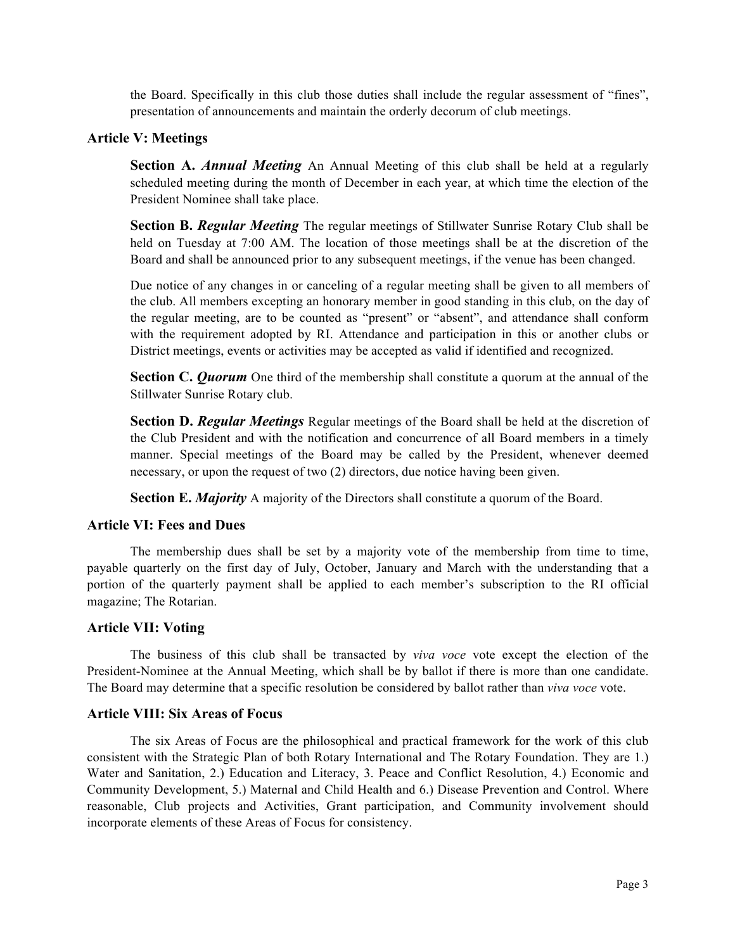the Board. Specifically in this club those duties shall include the regular assessment of "fines", presentation of announcements and maintain the orderly decorum of club meetings.

### **Article V: Meetings**

**Section A.** *Annual Meeting* An Annual Meeting of this club shall be held at a regularly scheduled meeting during the month of December in each year, at which time the election of the President Nominee shall take place.

**Section B.** *Regular Meeting* The regular meetings of Stillwater Sunrise Rotary Club shall be held on Tuesday at 7:00 AM. The location of those meetings shall be at the discretion of the Board and shall be announced prior to any subsequent meetings, if the venue has been changed.

Due notice of any changes in or canceling of a regular meeting shall be given to all members of the club. All members excepting an honorary member in good standing in this club, on the day of the regular meeting, are to be counted as "present" or "absent", and attendance shall conform with the requirement adopted by RI. Attendance and participation in this or another clubs or District meetings, events or activities may be accepted as valid if identified and recognized.

**Section C.** *Quorum* One third of the membership shall constitute a quorum at the annual of the Stillwater Sunrise Rotary club.

**Section D.** *Regular Meetings* Regular meetings of the Board shall be held at the discretion of the Club President and with the notification and concurrence of all Board members in a timely manner. Special meetings of the Board may be called by the President, whenever deemed necessary, or upon the request of two (2) directors, due notice having been given.

**Section E.** *Majority* A majority of the Directors shall constitute a quorum of the Board.

#### **Article VI: Fees and Dues**

The membership dues shall be set by a majority vote of the membership from time to time, payable quarterly on the first day of July, October, January and March with the understanding that a portion of the quarterly payment shall be applied to each member's subscription to the RI official magazine; The Rotarian.

#### **Article VII: Voting**

The business of this club shall be transacted by *viva voce* vote except the election of the President-Nominee at the Annual Meeting, which shall be by ballot if there is more than one candidate. The Board may determine that a specific resolution be considered by ballot rather than *viva voce* vote.

#### **Article VIII: Six Areas of Focus**

The six Areas of Focus are the philosophical and practical framework for the work of this club consistent with the Strategic Plan of both Rotary International and The Rotary Foundation. They are 1.) Water and Sanitation, 2.) Education and Literacy, 3. Peace and Conflict Resolution, 4.) Economic and Community Development, 5.) Maternal and Child Health and 6.) Disease Prevention and Control. Where reasonable, Club projects and Activities, Grant participation, and Community involvement should incorporate elements of these Areas of Focus for consistency.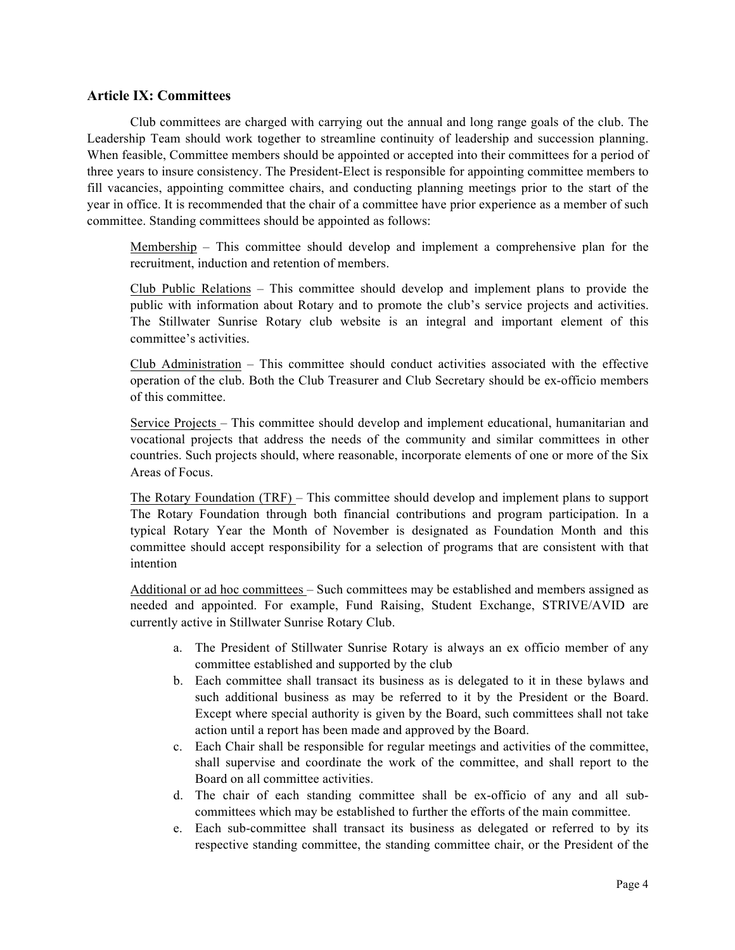## **Article IX: Committees**

Club committees are charged with carrying out the annual and long range goals of the club. The Leadership Team should work together to streamline continuity of leadership and succession planning. When feasible, Committee members should be appointed or accepted into their committees for a period of three years to insure consistency. The President-Elect is responsible for appointing committee members to fill vacancies, appointing committee chairs, and conducting planning meetings prior to the start of the year in office. It is recommended that the chair of a committee have prior experience as a member of such committee. Standing committees should be appointed as follows:

Membership – This committee should develop and implement a comprehensive plan for the recruitment, induction and retention of members.

Club Public Relations – This committee should develop and implement plans to provide the public with information about Rotary and to promote the club's service projects and activities. The Stillwater Sunrise Rotary club website is an integral and important element of this committee's activities.

Club Administration – This committee should conduct activities associated with the effective operation of the club. Both the Club Treasurer and Club Secretary should be ex-officio members of this committee.

Service Projects – This committee should develop and implement educational, humanitarian and vocational projects that address the needs of the community and similar committees in other countries. Such projects should, where reasonable, incorporate elements of one or more of the Six Areas of Focus.

The Rotary Foundation (TRF) – This committee should develop and implement plans to support The Rotary Foundation through both financial contributions and program participation. In a typical Rotary Year the Month of November is designated as Foundation Month and this committee should accept responsibility for a selection of programs that are consistent with that intention

Additional or ad hoc committees – Such committees may be established and members assigned as needed and appointed. For example, Fund Raising, Student Exchange, STRIVE/AVID are currently active in Stillwater Sunrise Rotary Club.

- a. The President of Stillwater Sunrise Rotary is always an ex officio member of any committee established and supported by the club
- b. Each committee shall transact its business as is delegated to it in these bylaws and such additional business as may be referred to it by the President or the Board. Except where special authority is given by the Board, such committees shall not take action until a report has been made and approved by the Board.
- c. Each Chair shall be responsible for regular meetings and activities of the committee, shall supervise and coordinate the work of the committee, and shall report to the Board on all committee activities.
- d. The chair of each standing committee shall be ex-officio of any and all subcommittees which may be established to further the efforts of the main committee.
- e. Each sub-committee shall transact its business as delegated or referred to by its respective standing committee, the standing committee chair, or the President of the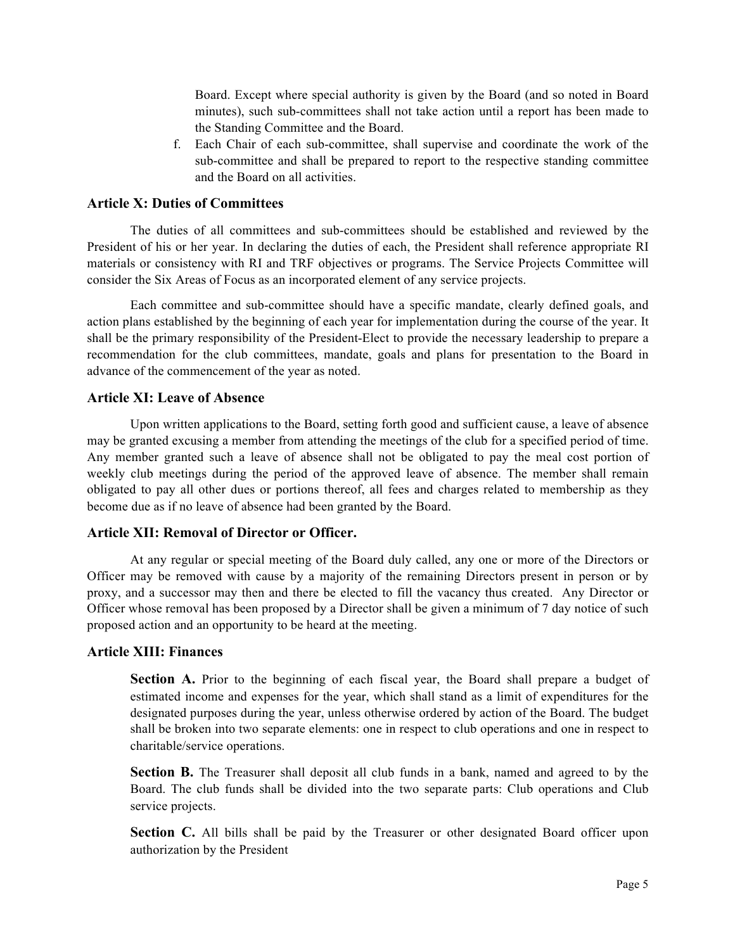Board. Except where special authority is given by the Board (and so noted in Board minutes), such sub-committees shall not take action until a report has been made to the Standing Committee and the Board.

f. Each Chair of each sub-committee, shall supervise and coordinate the work of the sub-committee and shall be prepared to report to the respective standing committee and the Board on all activities.

### **Article X: Duties of Committees**

The duties of all committees and sub-committees should be established and reviewed by the President of his or her year. In declaring the duties of each, the President shall reference appropriate RI materials or consistency with RI and TRF objectives or programs. The Service Projects Committee will consider the Six Areas of Focus as an incorporated element of any service projects.

Each committee and sub-committee should have a specific mandate, clearly defined goals, and action plans established by the beginning of each year for implementation during the course of the year. It shall be the primary responsibility of the President-Elect to provide the necessary leadership to prepare a recommendation for the club committees, mandate, goals and plans for presentation to the Board in advance of the commencement of the year as noted.

#### **Article XI: Leave of Absence**

Upon written applications to the Board, setting forth good and sufficient cause, a leave of absence may be granted excusing a member from attending the meetings of the club for a specified period of time. Any member granted such a leave of absence shall not be obligated to pay the meal cost portion of weekly club meetings during the period of the approved leave of absence. The member shall remain obligated to pay all other dues or portions thereof, all fees and charges related to membership as they become due as if no leave of absence had been granted by the Board.

# **Article XII: Removal of Director or Officer.**

At any regular or special meeting of the Board duly called, any one or more of the Directors or Officer may be removed with cause by a majority of the remaining Directors present in person or by proxy, and a successor may then and there be elected to fill the vacancy thus created. Any Director or Officer whose removal has been proposed by a Director shall be given a minimum of 7 day notice of such proposed action and an opportunity to be heard at the meeting.

#### **Article XIII: Finances**

**Section A.** Prior to the beginning of each fiscal year, the Board shall prepare a budget of estimated income and expenses for the year, which shall stand as a limit of expenditures for the designated purposes during the year, unless otherwise ordered by action of the Board. The budget shall be broken into two separate elements: one in respect to club operations and one in respect to charitable/service operations.

**Section B.** The Treasurer shall deposit all club funds in a bank, named and agreed to by the Board. The club funds shall be divided into the two separate parts: Club operations and Club service projects.

**Section C.** All bills shall be paid by the Treasurer or other designated Board officer upon authorization by the President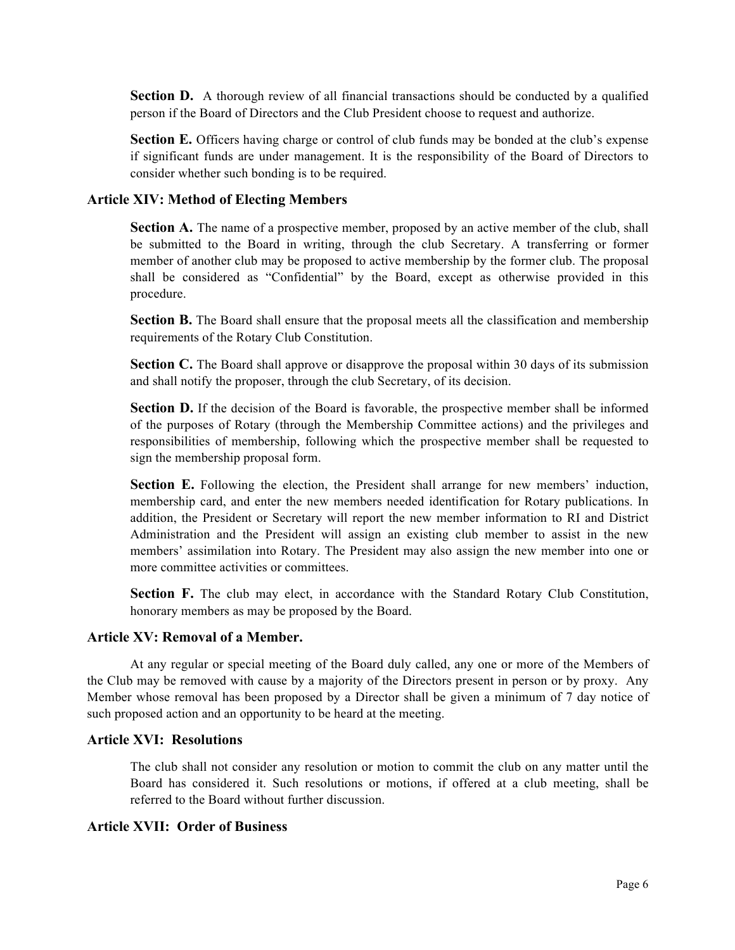**Section D.** A thorough review of all financial transactions should be conducted by a qualified person if the Board of Directors and the Club President choose to request and authorize.

**Section E.** Officers having charge or control of club funds may be bonded at the club's expense if significant funds are under management. It is the responsibility of the Board of Directors to consider whether such bonding is to be required.

#### **Article XIV: Method of Electing Members**

**Section A.** The name of a prospective member, proposed by an active member of the club, shall be submitted to the Board in writing, through the club Secretary. A transferring or former member of another club may be proposed to active membership by the former club. The proposal shall be considered as "Confidential" by the Board, except as otherwise provided in this procedure.

**Section B.** The Board shall ensure that the proposal meets all the classification and membership requirements of the Rotary Club Constitution.

**Section C.** The Board shall approve or disapprove the proposal within 30 days of its submission and shall notify the proposer, through the club Secretary, of its decision.

**Section D.** If the decision of the Board is favorable, the prospective member shall be informed of the purposes of Rotary (through the Membership Committee actions) and the privileges and responsibilities of membership, following which the prospective member shall be requested to sign the membership proposal form.

**Section E.** Following the election, the President shall arrange for new members' induction, membership card, and enter the new members needed identification for Rotary publications. In addition, the President or Secretary will report the new member information to RI and District Administration and the President will assign an existing club member to assist in the new members' assimilation into Rotary. The President may also assign the new member into one or more committee activities or committees.

Section F. The club may elect, in accordance with the Standard Rotary Club Constitution, honorary members as may be proposed by the Board.

#### **Article XV: Removal of a Member.**

At any regular or special meeting of the Board duly called, any one or more of the Members of the Club may be removed with cause by a majority of the Directors present in person or by proxy. Any Member whose removal has been proposed by a Director shall be given a minimum of 7 day notice of such proposed action and an opportunity to be heard at the meeting.

### **Article XVI: Resolutions**

The club shall not consider any resolution or motion to commit the club on any matter until the Board has considered it. Such resolutions or motions, if offered at a club meeting, shall be referred to the Board without further discussion.

### **Article XVII: Order of Business**